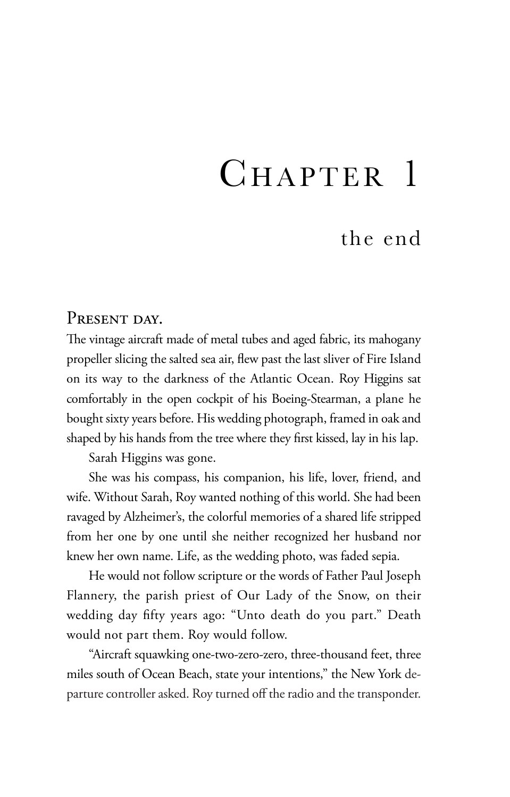## CHAPTER 1

## the end

## PRESENT DAY.

The vintage aircraft made of metal tubes and aged fabric, its mahogany propeller slicing the salted sea air, flew past the last sliver of Fire Island on its way to the darkness of the Atlantic Ocean. Roy Higgins sat comfortably in the open cockpit of his Boeing-Stearman, a plane he bought sixty years before. His wedding photograph, framed in oak and shaped by his hands from the tree where they first kissed, lay in his lap.

Sarah Higgins was gone.

She was his compass, his companion, his life, lover, friend, and wife. Without Sarah, Roy wanted nothing of this world. She had been ravaged by Alzheimer's, the colorful memories of a shared life stripped from her one by one until she neither recognized her husband nor knew her own name. Life, as the wedding photo, was faded sepia.

He would not follow scripture or the words of Father Paul Joseph Flannery, the parish priest of Our Lady of the Snow, on their wedding day fifty years ago: "Unto death do you part." Death would not part them. Roy would follow.

"Aircraft squawking one-two-zero-zero, three-thousand feet, three miles south of Ocean Beach, state your intentions," the New York departure controller asked. Roy turned off the radio and the transponder.